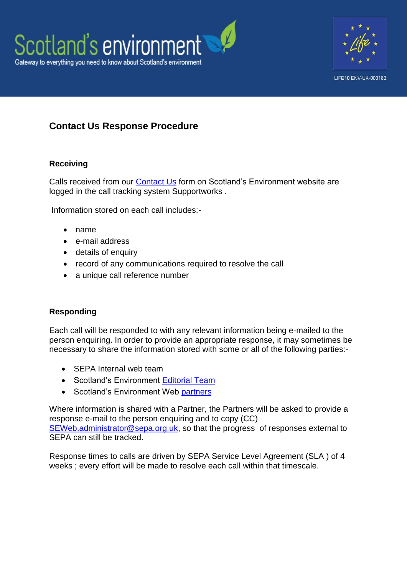



## **Contact Us Response Procedure**

## **Receiving**

Calls received from our [Contact Us](http://www.environment.scotland.gov.uk/get-communicating/contact-us/) form on Scotland's Environment website are logged in the call tracking system Supportworks .

Information stored on each call includes:-

- name
- e-mail address
- details of enquiry
- record of any communications required to resolve the call
- a unique call reference number

## **Responding**

Each call will be responded to with any relevant information being e-mailed to the person enquiring. In order to provide an appropriate response, it may sometimes be necessary to share the information stored with some or all of the following parties:-

- SEPA Internal web team
- Scotland's Environment [Editorial Team](http://www.environment.scotland.gov.uk/get-informed/state-of-the-environment-summary/who-wrote-this/)
- Scotland's Environment Web [partners](file:///C:/Users/leeann.burzynski/Desktop/http/www.environment.scotland.gov.uk/about-us/scotlands-environment-partners/)

Where information is shared with a Partner, the Partners will be asked to provide a response e-mail to the person enquiring and to copy (CC) [SEWeb.administrator@sepa.org.uk,](mailto:SEWeb.administrator@sepa.org.uk) so that the progress of responses external to SEPA can still be tracked.

Response times to calls are driven by SEPA Service Level Agreement (SLA ) of 4 weeks ; every effort will be made to resolve each call within that timescale.